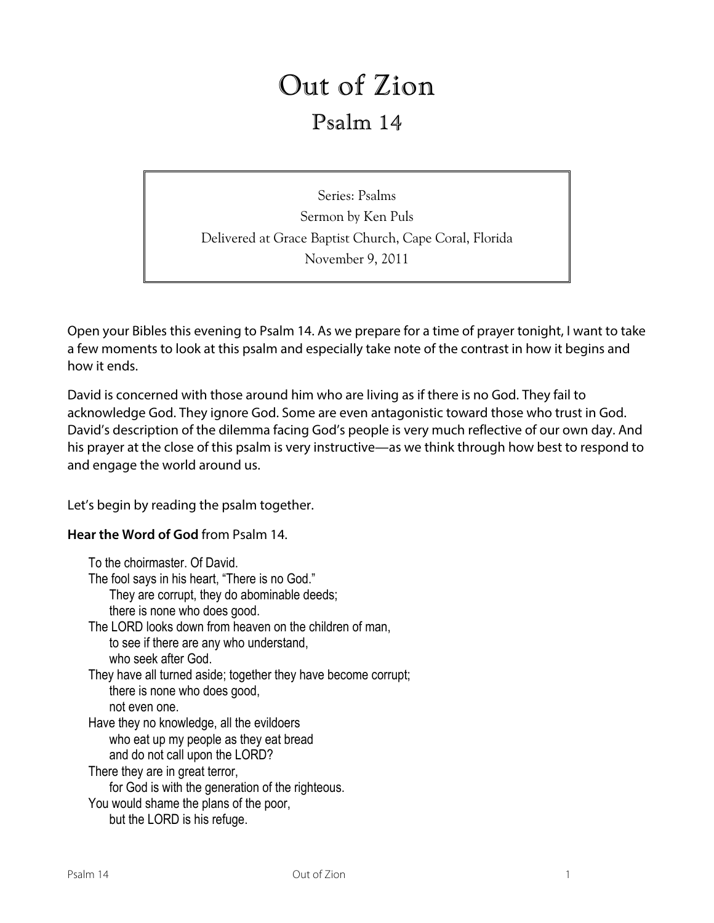# Out of Zion

## Psalm 14

Series: Psalms Sermon by Ken Puls Delivered at Grace Baptist Church, Cape Coral, Florida November 9, 2011

Open your Bibles this evening to Psalm 14. As we prepare for a time of prayer tonight, I want to take a few moments to look at this psalm and especially take note of the contrast in how it begins and how it ends.

David is concerned with those around him who are living as if there is no God. They fail to acknowledge God. They ignore God. Some are even antagonistic toward those who trust in God. David's description of the dilemma facing God's people is very much reflective of our own day. And his prayer at the close of this psalm is very instructive—as we think through how best to respond to and engage the world around us.

Let's begin by reading the psalm together.

**Hear the Word of God** from Psalm 14.

To the choirmaster. Of David. The fool says in his heart, "There is no God." They are corrupt, they do abominable deeds; there is none who does good. The LORD looks down from heaven on the children of man, to see if there are any who understand, who seek after God. They have all turned aside; together they have become corrupt; there is none who does good, not even one. Have they no knowledge, all the evildoers who eat up my people as they eat bread and do not call upon the LORD? There they are in great terror, for God is with the generation of the righteous. You would shame the plans of the poor,

but the LORD is his refuge.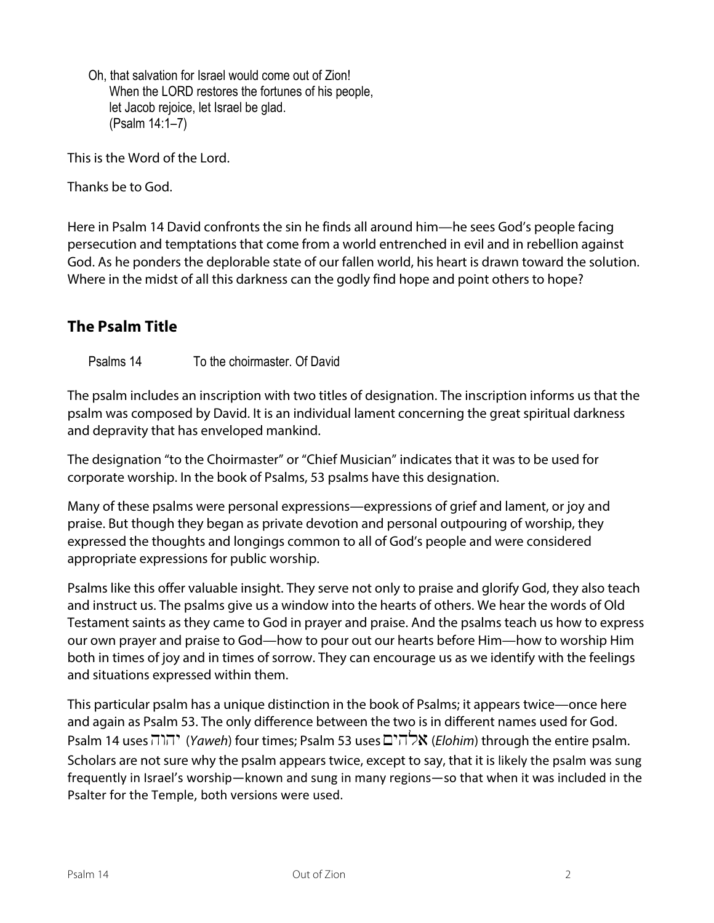Oh, that salvation for Israel would come out of Zion! When the LORD restores the fortunes of his people, let Jacob rejoice, let Israel be glad. (Psalm 14:1–7)

This is the Word of the Lord.

Thanks be to God.

Here in Psalm 14 David confronts the sin he finds all around him—he sees God's people facing persecution and temptations that come from a world entrenched in evil and in rebellion against God. As he ponders the deplorable state of our fallen world, his heart is drawn toward the solution. Where in the midst of all this darkness can the godly find hope and point others to hope?

### **The Psalm Title**

Psalms 14 To the choirmaster. Of David

The psalm includes an inscription with two titles of designation. The inscription informs us that the psalm was composed by David. It is an individual lament concerning the great spiritual darkness and depravity that has enveloped mankind.

The designation "to the Choirmaster" or "Chief Musician" indicates that it was to be used for corporate worship. In the book of Psalms, 53 psalms have this designation.

Many of these psalms were personal expressions—expressions of grief and lament, or joy and praise. But though they began as private devotion and personal outpouring of worship, they expressed the thoughts and longings common to all of God's people and were considered appropriate expressions for public worship.

Psalms like this offer valuable insight. They serve not only to praise and glorify God, they also teach and instruct us. The psalms give us a window into the hearts of others. We hear the words of Old Testament saints as they came to God in prayer and praise. And the psalms teach us how to express our own prayer and praise to God—how to pour out our hearts before Him—how to worship Him both in times of joy and in times of sorrow. They can encourage us as we identify with the feelings and situations expressed within them.

This particular psalm has a unique distinction in the book of Psalms; it appears twice—once here and again as Psalm 53. The only difference between the two is in different names used for God. Psalm 14 uses <sup>אל</sup>הים (*Yaweh*) four times; Psalm 53 uses  $\Box$  *Clohim*) through the entire psalm. Scholars are not sure why the psalm appears twice, except to say, that it is likely the psalm was sung frequently in Israel's worship—known and sung in many regions—so that when it was included in the Psalter for the Temple, both versions were used.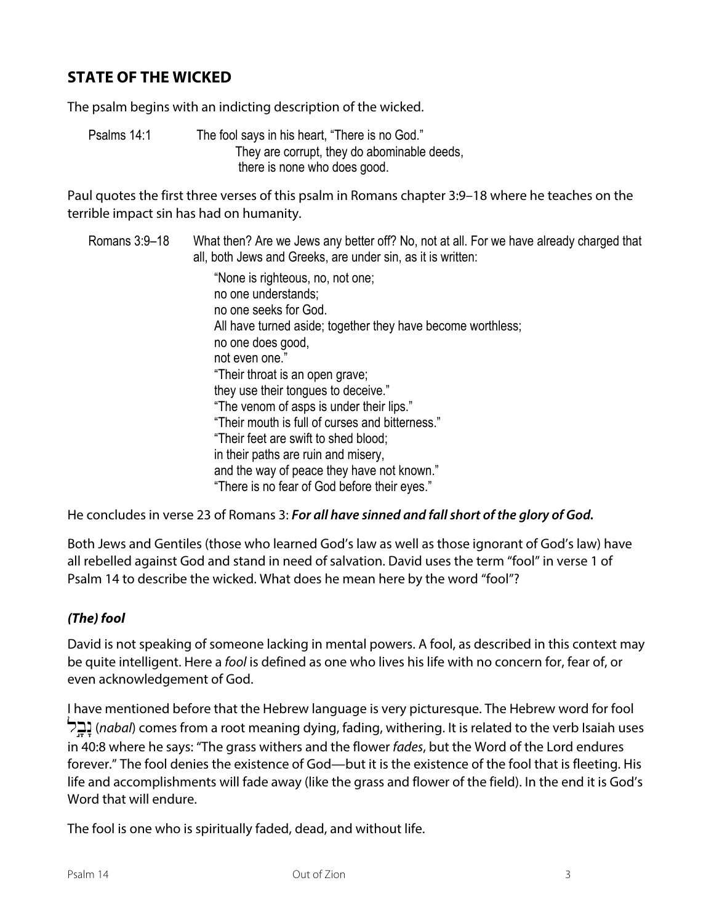### **STATE OF THE WICKED**

The psalm begins with an indicting description of the wicked.

Psalms 14:1 The fool says in his heart, "There is no God." They are corrupt, they do abominable deeds, there is none who does good.

Paul quotes the first three verses of this psalm in Romans chapter 3:9–18 where he teaches on the terrible impact sin has had on humanity.

#### Romans 3:9–18 What then? Are we Jews any better off? No, not at all. For we have already charged that all, both Jews and Greeks, are under sin, as it is written:

"None is righteous, no, not one; no one understands; no one seeks for God. All have turned aside; together they have become worthless; no one does good, not even one." "Their throat is an open grave; they use their tongues to deceive." "The venom of asps is under their lips." "Their mouth is full of curses and bitterness." "Their feet are swift to shed blood; in their paths are ruin and misery, and the way of peace they have not known." "There is no fear of God before their eyes."

He concludes in verse 23 of Romans 3: *For all have sinned and fall short of the glory of God.*

Both Jews and Gentiles (those who learned God's law as well as those ignorant of God's law) have all rebelled against God and stand in need of salvation. David uses the term "fool" in verse 1 of Psalm 14 to describe the wicked. What does he mean here by the word "fool"?

### *(The) fool*

David is not speaking of someone lacking in mental powers. A fool, as described in this context may be quite intelligent. Here a *fool* is defined as one who lives his life with no concern for, fear of, or even acknowledgement of God.

I have mentioned before that the Hebrew language is very picturesque. The Hebrew word for fool lb…¢n:(*nabal*) comes from a root meaning dying, fading, withering. It is related to the verb Isaiah uses in 40:8 where he says: "The grass withers and the flower *fades*, but the Word of the Lord endures forever." The fool denies the existence of God—but it is the existence of the fool that is fleeting. His life and accomplishments will fade away (like the grass and flower of the field). In the end it is God's Word that will endure.

The fool is one who is spiritually faded, dead, and without life.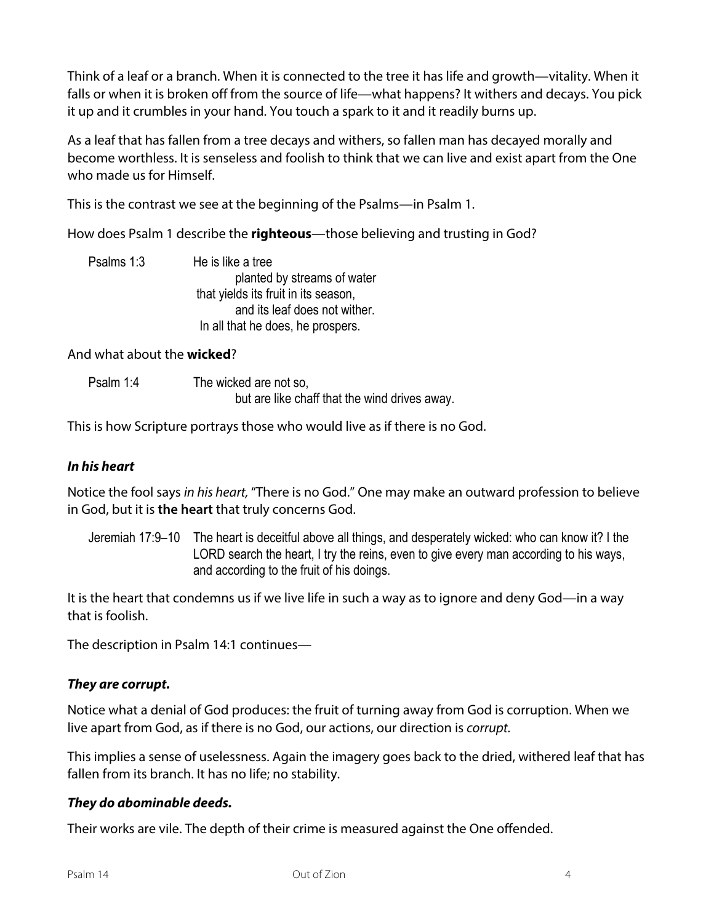Think of a leaf or a branch. When it is connected to the tree it has life and growth—vitality. When it falls or when it is broken off from the source of life—what happens? It withers and decays. You pick it up and it crumbles in your hand. You touch a spark to it and it readily burns up.

As a leaf that has fallen from a tree decays and withers, so fallen man has decayed morally and become worthless. It is senseless and foolish to think that we can live and exist apart from the One who made us for Himself.

This is the contrast we see at the beginning of the Psalms—in Psalm 1.

How does Psalm 1 describe the **righteous**—those believing and trusting in God?

Psalms 1:3 He is like a tree planted by streams of water that yields its fruit in its season, and its leaf does not wither. In all that he does, he prospers.

### And what about the **wicked**?

Psalm 1:4 The wicked are not so, but are like chaff that the wind drives away.

This is how Scripture portrays those who would live as if there is no God.

### *In his heart*

Notice the fool says *in his heart,* "There is no God." One may make an outward profession to believe in God, but it is **the heart** that truly concerns God.

Jeremiah 17:9–10 The heart is deceitful above all things, and desperately wicked: who can know it? I the LORD search the heart, I try the reins, even to give every man according to his ways, and according to the fruit of his doings.

It is the heart that condemns us if we live life in such a way as to ignore and deny God—in a way that is foolish.

The description in Psalm 14:1 continues—

### *They are corrupt.*

Notice what a denial of God produces: the fruit of turning away from God is corruption. When we live apart from God, as if there is no God, our actions, our direction is *corrupt.*

This implies a sense of uselessness. Again the imagery goes back to the dried, withered leaf that has fallen from its branch. It has no life; no stability.

### *They do abominable deeds.*

Their works are vile. The depth of their crime is measured against the One offended.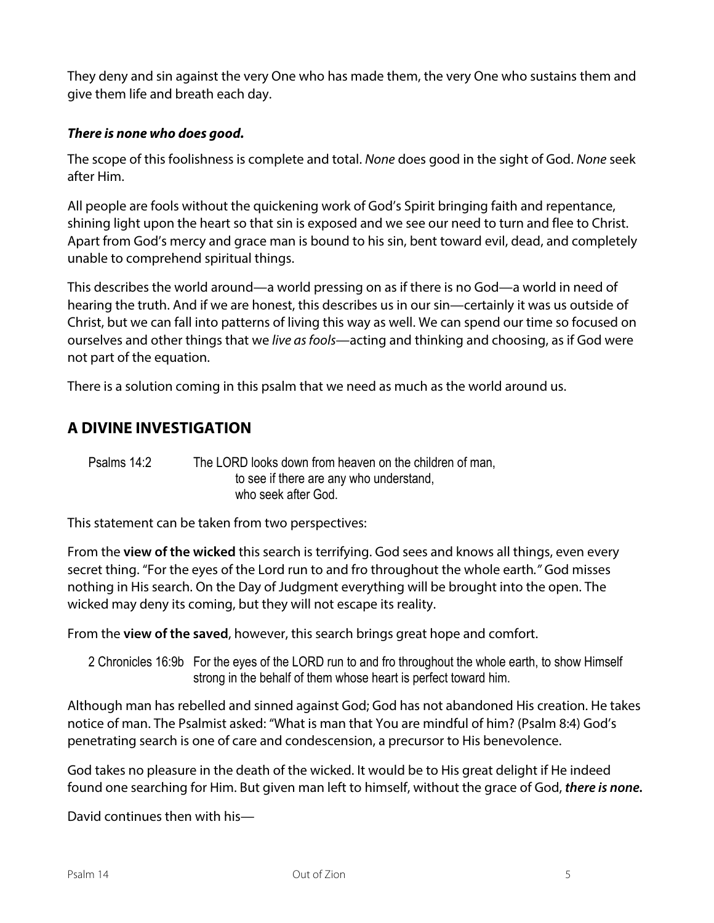They deny and sin against the very One who has made them, the very One who sustains them and give them life and breath each day.

### *There is none who does good.*

The scope of this foolishness is complete and total. *None* does good in the sight of God. *None* seek after Him.

All people are fools without the quickening work of God's Spirit bringing faith and repentance, shining light upon the heart so that sin is exposed and we see our need to turn and flee to Christ. Apart from God's mercy and grace man is bound to his sin, bent toward evil, dead, and completely unable to comprehend spiritual things.

This describes the world around—a world pressing on as if there is no God—a world in need of hearing the truth. And if we are honest, this describes us in our sin—certainly it was us outside of Christ, but we can fall into patterns of living this way as well. We can spend our time so focused on ourselves and other things that we *live as fools*—acting and thinking and choosing, as if God were not part of the equation.

There is a solution coming in this psalm that we need as much as the world around us.

### **A DIVINE INVESTIGATION**

Psalms 14:2 The LORD looks down from heaven on the children of man, to see if there are any who understand, who seek after God.

This statement can be taken from two perspectives:

From the **view of the wicked** this search is terrifying. God sees and knows all things, even every secret thing. "For the eyes of the Lord run to and fro throughout the whole earth*."* God misses nothing in His search. On the Day of Judgment everything will be brought into the open. The wicked may deny its coming, but they will not escape its reality.

From the **view of the saved**, however, this search brings great hope and comfort.

2 Chronicles 16:9b For the eyes of the LORD run to and fro throughout the whole earth, to show Himself strong in the behalf of them whose heart is perfect toward him.

Although man has rebelled and sinned against God; God has not abandoned His creation. He takes notice of man. The Psalmist asked: "What is man that You are mindful of him? (Psalm 8:4) God's penetrating search is one of care and condescension, a precursor to His benevolence.

God takes no pleasure in the death of the wicked. It would be to His great delight if He indeed found one searching for Him. But given man left to himself, without the grace of God, *there is none.*

David continues then with his—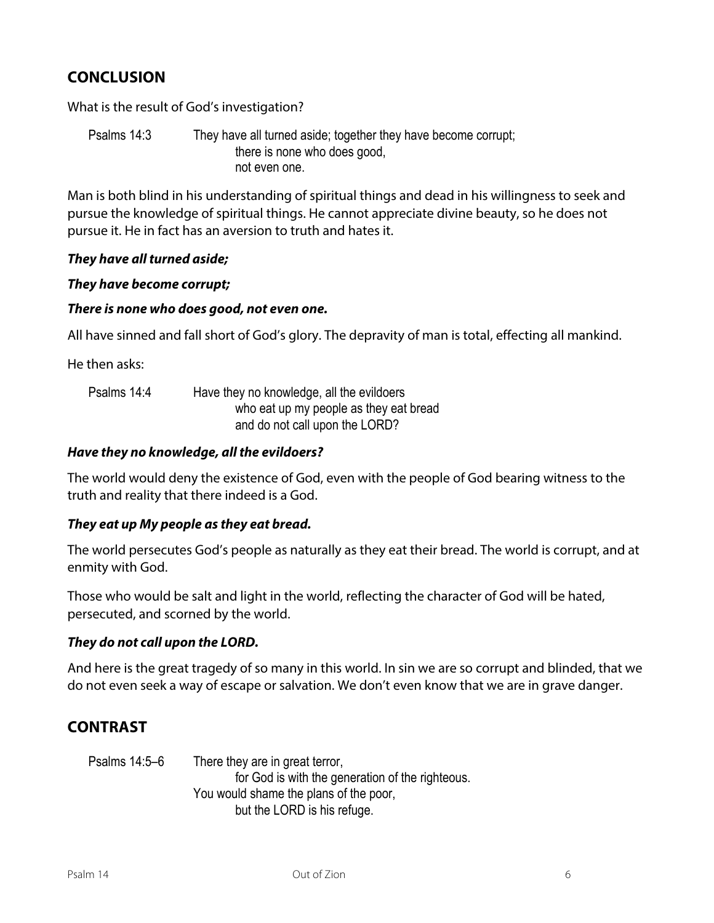### **CONCLUSION**

What is the result of God's investigation?

Psalms 14:3 They have all turned aside; together they have become corrupt; there is none who does good, not even one.

Man is both blind in his understanding of spiritual things and dead in his willingness to seek and pursue the knowledge of spiritual things. He cannot appreciate divine beauty, so he does not pursue it. He in fact has an aversion to truth and hates it.

#### *They have all turned aside;*

#### *They have become corrupt;*

#### *There is none who does good, not even one.*

All have sinned and fall short of God's glory. The depravity of man is total, effecting all mankind.

He then asks:

| Psalms 14:4 | Have they no knowledge, all the evildoers |
|-------------|-------------------------------------------|
|             | who eat up my people as they eat bread    |
|             | and do not call upon the LORD?            |

#### *Have they no knowledge, all the evildoers?*

The world would deny the existence of God, even with the people of God bearing witness to the truth and reality that there indeed is a God.

### *They eat up My people as they eat bread.*

The world persecutes God's people as naturally as they eat their bread. The world is corrupt, and at enmity with God.

Those who would be salt and light in the world, reflecting the character of God will be hated, persecuted, and scorned by the world.

### *They do not call upon the LORD.*

And here is the great tragedy of so many in this world. In sin we are so corrupt and blinded, that we do not even seek a way of escape or salvation. We don't even know that we are in grave danger.

### **CONTRAST**

Psalms 14:5–6 There they are in great terror, for God is with the generation of the righteous. You would shame the plans of the poor, but the LORD is his refuge.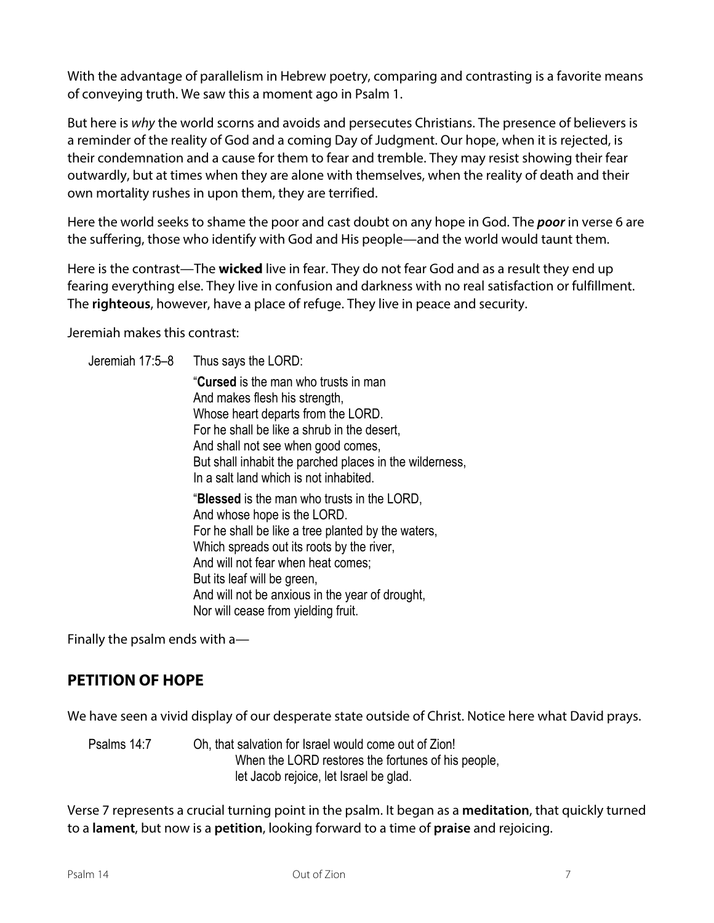With the advantage of parallelism in Hebrew poetry, comparing and contrasting is a favorite means of conveying truth. We saw this a moment ago in Psalm 1.

But here is *why* the world scorns and avoids and persecutes Christians. The presence of believers is a reminder of the reality of God and a coming Day of Judgment. Our hope, when it is rejected, is their condemnation and a cause for them to fear and tremble. They may resist showing their fear outwardly, but at times when they are alone with themselves, when the reality of death and their own mortality rushes in upon them, they are terrified.

Here the world seeks to shame the poor and cast doubt on any hope in God. The *poor* in verse 6 are the suffering, those who identify with God and His people—and the world would taunt them.

Here is the contrast—The **wicked** live in fear. They do not fear God and as a result they end up fearing everything else. They live in confusion and darkness with no real satisfaction or fulfillment. The **righteous**, however, have a place of refuge. They live in peace and security.

Jeremiah makes this contrast:

Jeremiah 17:5–8 Thus says the LORD: "**Cursed** is the man who trusts in man And makes flesh his strength, Whose heart departs from the LORD. For he shall be like a shrub in the desert, And shall not see when good comes, But shall inhabit the parched places in the wilderness, In a salt land which is not inhabited. "**Blessed** is the man who trusts in the LORD, And whose hope is the LORD. For he shall be like a tree planted by the waters, Which spreads out its roots by the river, And will not fear when heat comes; But its leaf will be green, And will not be anxious in the year of drought, Nor will cease from yielding fruit.

Finally the psalm ends with a—

### **PETITION OF HOPE**

We have seen a vivid display of our desperate state outside of Christ. Notice here what David prays.

Psalms 14:7 Oh, that salvation for Israel would come out of Zion! When the LORD restores the fortunes of his people, let Jacob rejoice, let Israel be glad.

Verse 7 represents a crucial turning point in the psalm. It began as a **meditation**, that quickly turned to a **lament**, but now is a **petition**, looking forward to a time of **praise** and rejoicing.